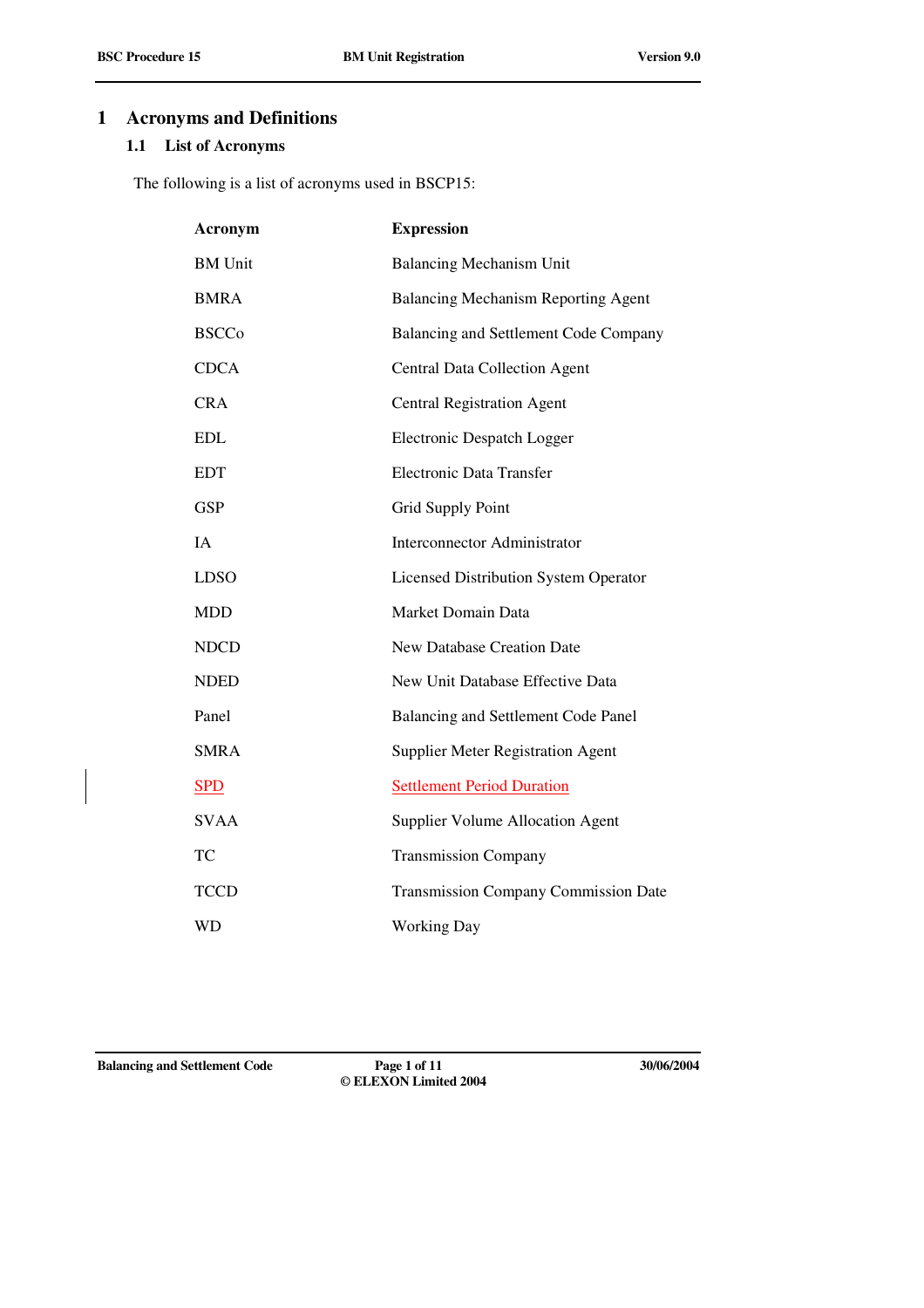# **1 Acronyms and Definitions**

## **1.1 List of Acronyms**

The following is a list of acronyms used in BSCP15:

| Acronym        | <b>Expression</b>                            |
|----------------|----------------------------------------------|
| <b>BM</b> Unit | <b>Balancing Mechanism Unit</b>              |
| <b>BMRA</b>    | <b>Balancing Mechanism Reporting Agent</b>   |
| <b>BSCCo</b>   | Balancing and Settlement Code Company        |
| <b>CDCA</b>    | <b>Central Data Collection Agent</b>         |
| <b>CRA</b>     | <b>Central Registration Agent</b>            |
| <b>EDL</b>     | Electronic Despatch Logger                   |
| <b>EDT</b>     | <b>Electronic Data Transfer</b>              |
| <b>GSP</b>     | Grid Supply Point                            |
| IA             | <b>Interconnector Administrator</b>          |
| <b>LDSO</b>    | <b>Licensed Distribution System Operator</b> |
| <b>MDD</b>     | Market Domain Data                           |
| <b>NDCD</b>    | <b>New Database Creation Date</b>            |
| <b>NDED</b>    | New Unit Database Effective Data             |
| Panel          | Balancing and Settlement Code Panel          |
| <b>SMRA</b>    | <b>Supplier Meter Registration Agent</b>     |
| <b>SPD</b>     | <b>Settlement Period Duration</b>            |
| <b>SVAA</b>    | <b>Supplier Volume Allocation Agent</b>      |
| TC             | <b>Transmission Company</b>                  |
| <b>TCCD</b>    | <b>Transmission Company Commission Date</b>  |
| WD             | <b>Working Day</b>                           |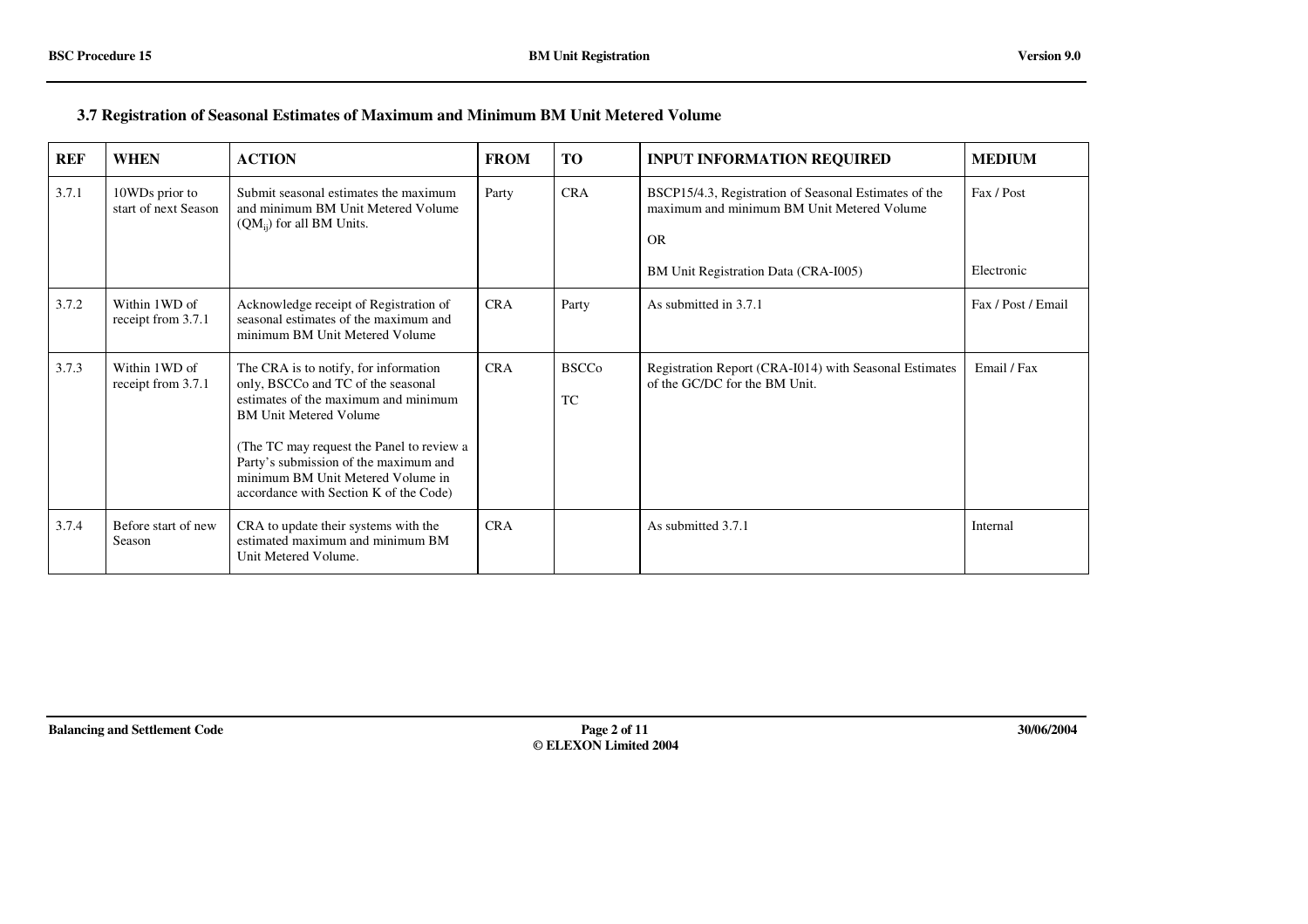#### **3.7 Registration of Seasonal Estimates of Maximum and Minimum BM Unit Metered Volume**

| <b>REF</b> | <b>WHEN</b>                            | <b>ACTION</b>                                                                                                                                                                                                                                                                                                             | <b>FROM</b> | <b>TO</b>                 | <b>INPUT INFORMATION REQUIRED</b>                                                                                                                        | <b>MEDIUM</b>            |
|------------|----------------------------------------|---------------------------------------------------------------------------------------------------------------------------------------------------------------------------------------------------------------------------------------------------------------------------------------------------------------------------|-------------|---------------------------|----------------------------------------------------------------------------------------------------------------------------------------------------------|--------------------------|
| 3.7.1      | 10WDs prior to<br>start of next Season | Submit seasonal estimates the maximum<br>and minimum BM Unit Metered Volume<br>$(QM_{ij})$ for all BM Units.                                                                                                                                                                                                              | Party       | <b>CRA</b>                | BSCP15/4.3, Registration of Seasonal Estimates of the<br>maximum and minimum BM Unit Metered Volume<br><b>OR</b><br>BM Unit Registration Data (CRA-I005) | Fax / Post<br>Electronic |
| 3.7.2      | Within 1WD of<br>receipt from 3.7.1    | Acknowledge receipt of Registration of<br>seasonal estimates of the maximum and<br>minimum BM Unit Metered Volume                                                                                                                                                                                                         | <b>CRA</b>  | Party                     | As submitted in 3.7.1                                                                                                                                    | Fax / Post / Email       |
| 3.7.3      | Within 1WD of<br>receipt from 3.7.1    | The CRA is to notify, for information<br>only, BSCCo and TC of the seasonal<br>estimates of the maximum and minimum<br><b>BM Unit Metered Volume</b><br>(The TC may request the Panel to review a<br>Party's submission of the maximum and<br>minimum BM Unit Metered Volume in<br>accordance with Section K of the Code) | <b>CRA</b>  | <b>BSCCo</b><br><b>TC</b> | Registration Report (CRA-I014) with Seasonal Estimates<br>of the GC/DC for the BM Unit.                                                                  | Email / Fax              |
| 3.7.4      | Before start of new<br>Season          | CRA to update their systems with the<br>estimated maximum and minimum BM<br>Unit Metered Volume.                                                                                                                                                                                                                          | <b>CRA</b>  |                           | As submitted 3.7.1                                                                                                                                       | Internal                 |

**Balancing and Settlement Code Page 2 of 11 30/06/2004**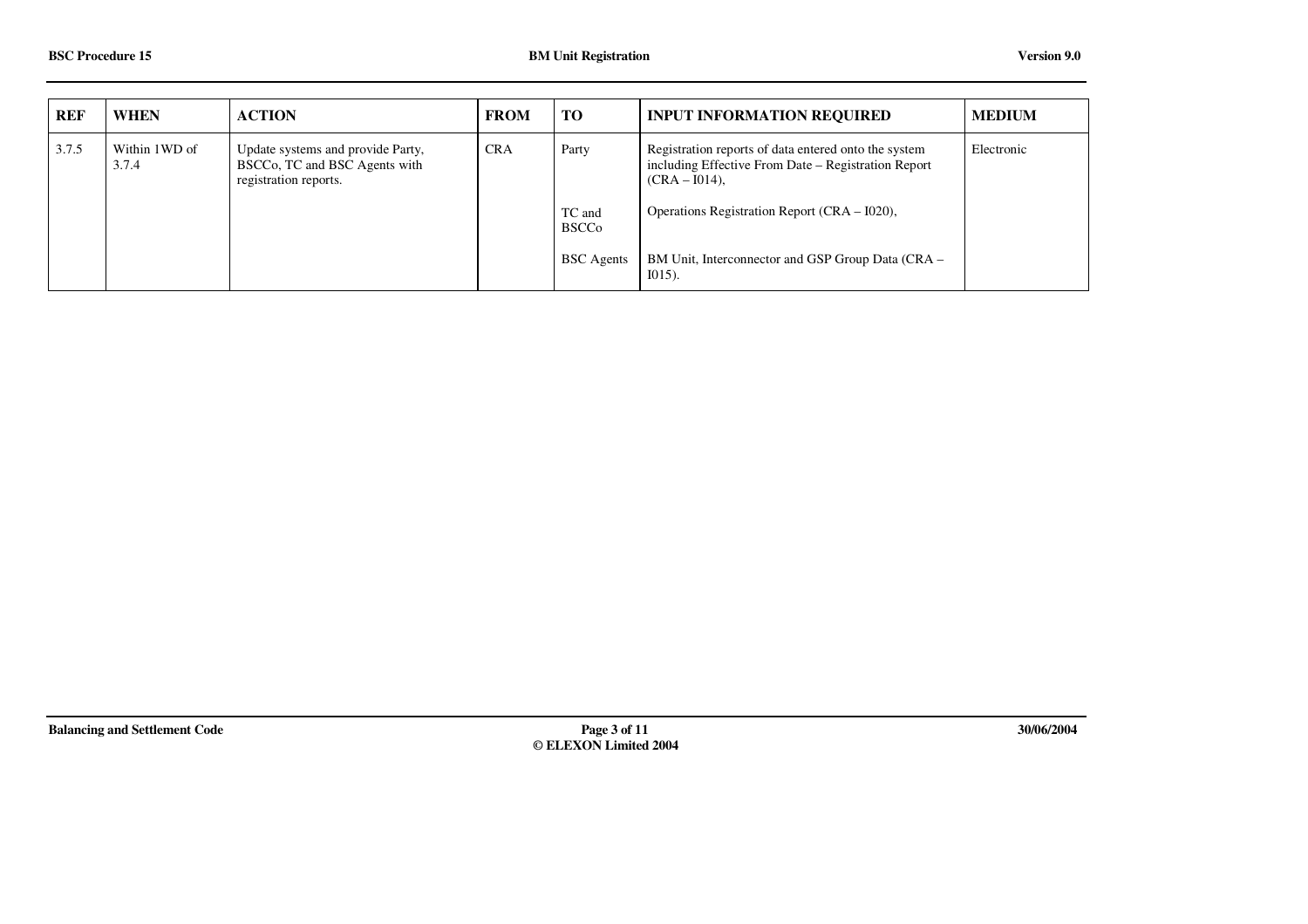| <b>REF</b> | <b>WHEN</b>            | <b>ACTION</b>                                                                               | <b>FROM</b> | <b>TO</b>              | <b>INPUT INFORMATION REQUIRED</b>                                                                                               | <b>MEDIUM</b> |
|------------|------------------------|---------------------------------------------------------------------------------------------|-------------|------------------------|---------------------------------------------------------------------------------------------------------------------------------|---------------|
| 3.7.5      | Within 1WD of<br>3.7.4 | Update systems and provide Party,<br>BSCCo, TC and BSC Agents with<br>registration reports. | <b>CRA</b>  | Party                  | Registration reports of data entered onto the system<br>including Effective From Date – Registration Report<br>$(CRA - I014)$ , | Electronic    |
|            |                        |                                                                                             |             | TC and<br><b>BSCCo</b> | Operations Registration Report (CRA – I020),                                                                                    |               |
|            |                        |                                                                                             |             | <b>BSC</b> Agents      | BM Unit, Interconnector and GSP Group Data (CRA –<br>$I(015)$ .                                                                 |               |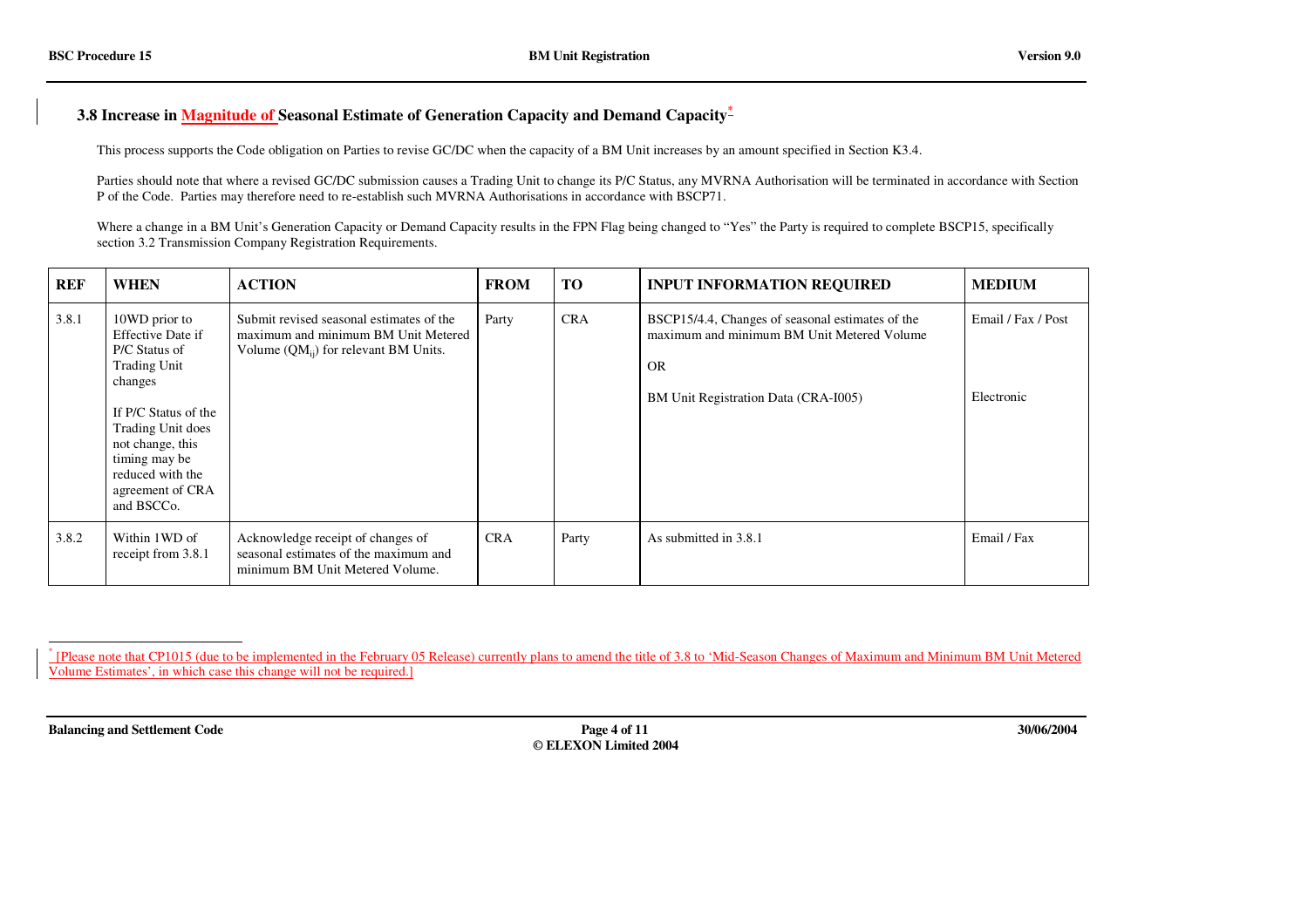### **3.8 Increase in Magnitude of Seasonal Estimate of Generation Capacity and Demand Capacity\***

This process supports the Code obligation on Parties to revise GC/DC when the capacity of <sup>a</sup> BM Unit increases by an amount specified in Section K3.4.

Parties should note that where <sup>a</sup> revised GC/DC submission causes <sup>a</sup> Trading Unit to change its P/C Status, any MVRNA Authorisation will be terminated in accordance with Section P of the Code. Parties may therefore need to re-establish such MVRNA Authorisations in accordance with BSCP71.

Where <sup>a</sup> change in <sup>a</sup> BM Unit's Generation Capacity or Demand Capacity results in the FPN Flag being changed to "Yes" the Party is required to complete BSCP15, specifically section 3.2 Transmission Company Registration Requirements.

| <b>REF</b> | <b>WHEN</b>                                                                                                                                                                                                                          | <b>ACTION</b>                                                                                                                | <b>FROM</b> | TO         | <b>INPUT INFORMATION REQUIRED</b>                                                                                                                   | <b>MEDIUM</b>                    |
|------------|--------------------------------------------------------------------------------------------------------------------------------------------------------------------------------------------------------------------------------------|------------------------------------------------------------------------------------------------------------------------------|-------------|------------|-----------------------------------------------------------------------------------------------------------------------------------------------------|----------------------------------|
| 3.8.1      | 10WD prior to<br><b>Effective Date if</b><br>P/C Status of<br><b>Trading Unit</b><br>changes<br>If P/C Status of the<br>Trading Unit does<br>not change, this<br>timing may be<br>reduced with the<br>agreement of CRA<br>and BSCCo. | Submit revised seasonal estimates of the<br>maximum and minimum BM Unit Metered<br>Volume $(QM_{ij})$ for relevant BM Units. | Party       | <b>CRA</b> | BSCP15/4.4, Changes of seasonal estimates of the<br>maximum and minimum BM Unit Metered Volume<br><b>OR</b><br>BM Unit Registration Data (CRA-I005) | Email / Fax / Post<br>Electronic |
| 3.8.2      | Within 1WD of<br>receipt from 3.8.1                                                                                                                                                                                                  | Acknowledge receipt of changes of<br>seasonal estimates of the maximum and<br>minimum BM Unit Metered Volume.                | <b>CRA</b>  | Party      | As submitted in 3.8.1                                                                                                                               | Email / Fax                      |

\* [Please note that CP1015 (due to be implemented in the February 05 Release) currently plans to amend the title of 3.8 to 'Mid-Season Changes of Maximum and Minimum BM Unit Metered Volume Estimates', in which case this change will not be required.]

**Balancing and Settlement Code Page 4 of 11 30/06/2004**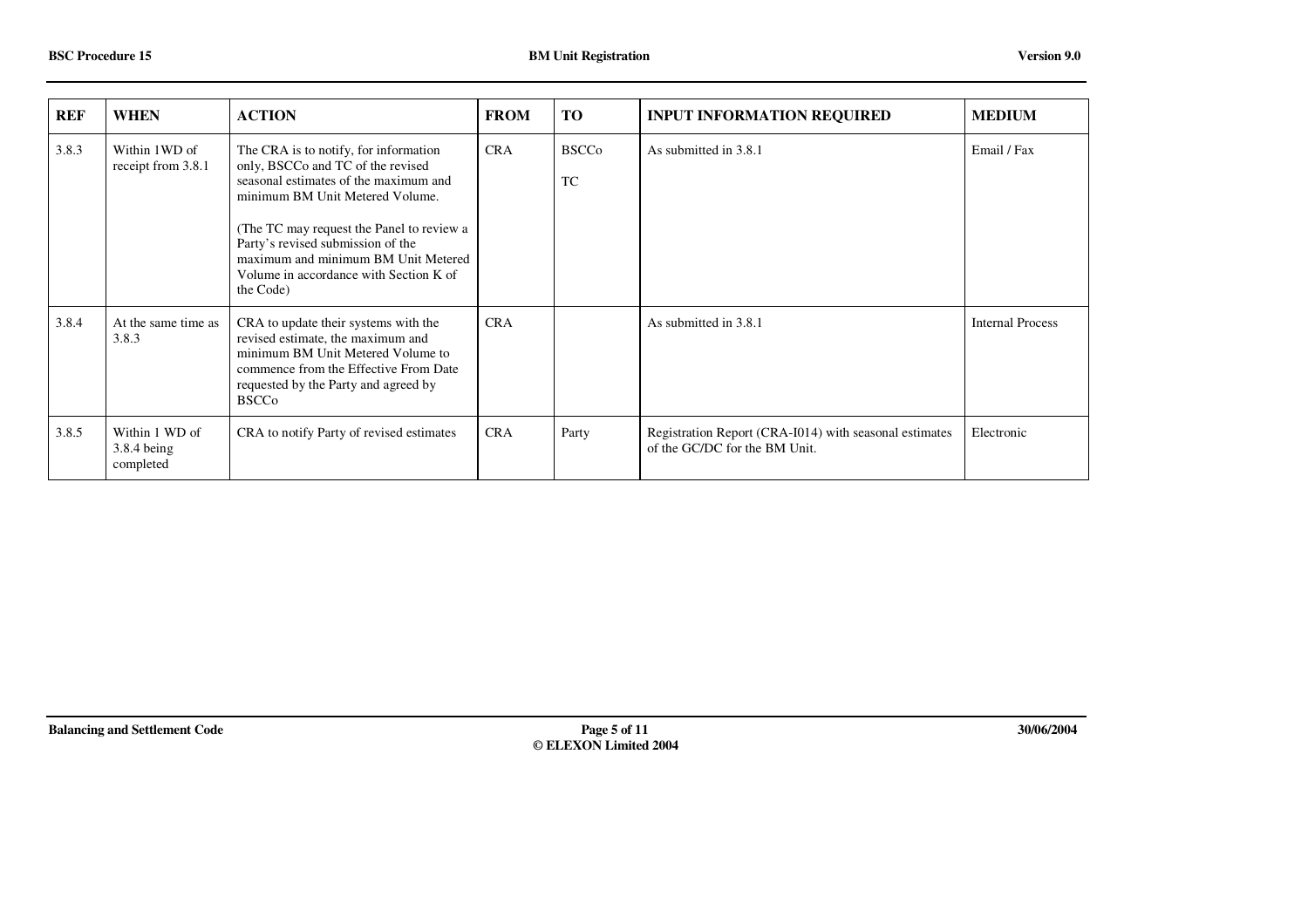| <b>REF</b> | <b>WHEN</b>                                | <b>ACTION</b>                                                                                                                                                                                                                                                                                                                          | <b>FROM</b> | <b>TO</b>                 | <b>INPUT INFORMATION REQUIRED</b>                                                       | <b>MEDIUM</b>           |
|------------|--------------------------------------------|----------------------------------------------------------------------------------------------------------------------------------------------------------------------------------------------------------------------------------------------------------------------------------------------------------------------------------------|-------------|---------------------------|-----------------------------------------------------------------------------------------|-------------------------|
| 3.8.3      | Within 1WD of<br>receipt from 3.8.1        | The CRA is to notify, for information<br>only, BSCCo and TC of the revised<br>seasonal estimates of the maximum and<br>minimum BM Unit Metered Volume.<br>(The TC may request the Panel to review a<br>Party's revised submission of the<br>maximum and minimum BM Unit Metered<br>Volume in accordance with Section K of<br>the Code) | <b>CRA</b>  | <b>BSCCo</b><br><b>TC</b> | As submitted in 3.8.1                                                                   | Email / Fax             |
| 3.8.4      | At the same time as<br>3.8.3               | CRA to update their systems with the<br>revised estimate, the maximum and<br>minimum BM Unit Metered Volume to<br>commence from the Effective From Date<br>requested by the Party and agreed by<br><b>BSCCo</b>                                                                                                                        | <b>CRA</b>  |                           | As submitted in 3.8.1                                                                   | <b>Internal Process</b> |
| 3.8.5      | Within 1 WD of<br>3.8.4 being<br>completed | CRA to notify Party of revised estimates                                                                                                                                                                                                                                                                                               | <b>CRA</b>  | Party                     | Registration Report (CRA-I014) with seasonal estimates<br>of the GC/DC for the BM Unit. | Electronic              |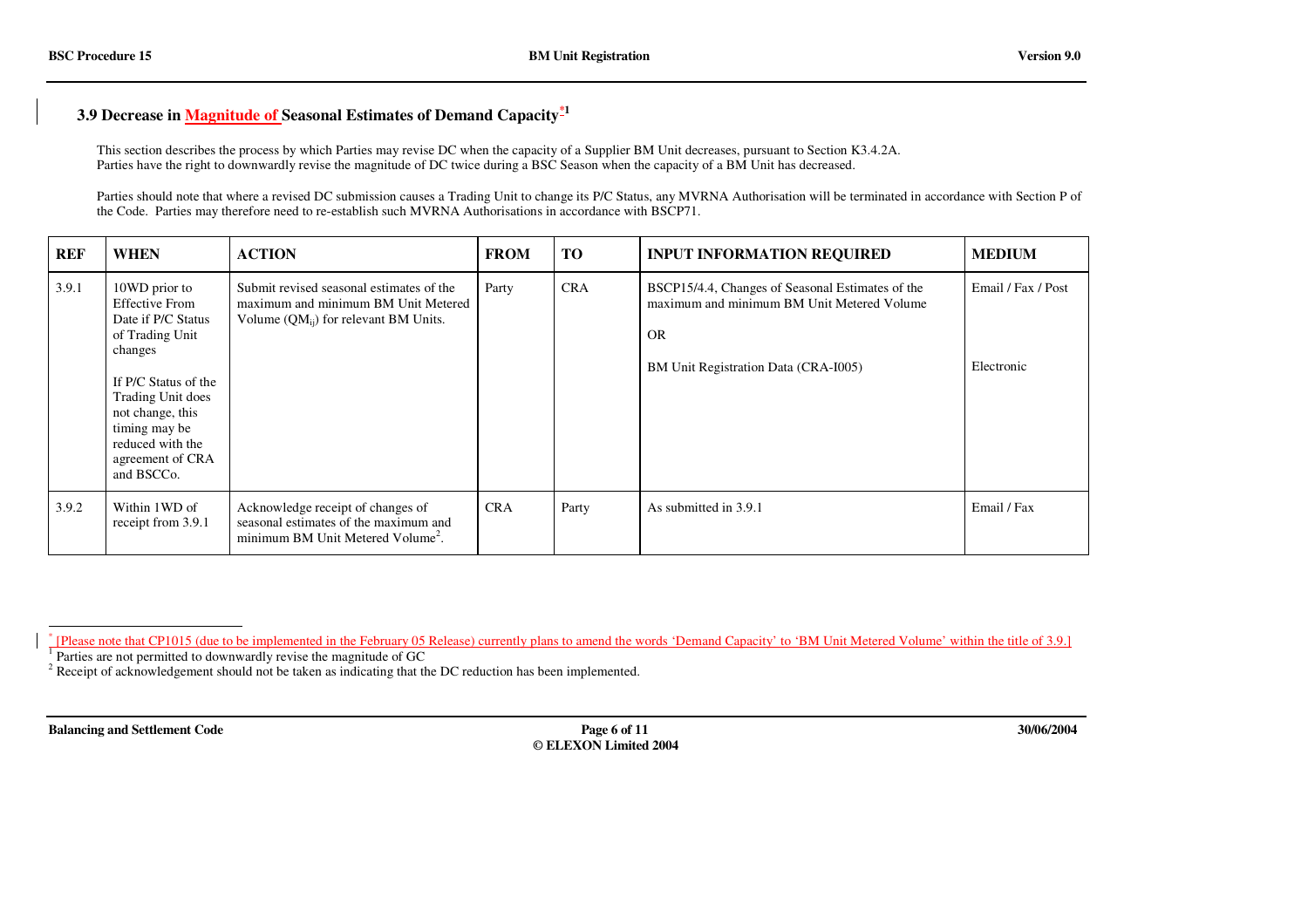#### **3.9 Decrease in Magnitude of Seasonal Estimates of Demand Capacity\*1**

This section describes the process by which Parties may revise DC when the capacity of <sup>a</sup> Supplier BM Unit decreases, pursuan<sup>t</sup> to Section K3.4.2A. Parties have the right to downwardly revise the magnitude of DC twice during <sup>a</sup> BSC Season when the capacity of <sup>a</sup> BM Unit has decreased.

Parties should note that where <sup>a</sup> revised DC submission causes <sup>a</sup> Trading Unit to change its P/C Status, any MVRNA Authorisation will be terminated in accordance with Section P of the Code. Parties may therefore need to re-establish such MVRNA Authorisations in accordance with BSCP71.

| <b>REF</b> | <b>WHEN</b>                                                                                                                                                                                                                        | <b>ACTION</b>                                                                                                                | <b>FROM</b> | TO         | <b>INPUT INFORMATION REQUIRED</b>                                                                                                                   | <b>MEDIUM</b>                    |
|------------|------------------------------------------------------------------------------------------------------------------------------------------------------------------------------------------------------------------------------------|------------------------------------------------------------------------------------------------------------------------------|-------------|------------|-----------------------------------------------------------------------------------------------------------------------------------------------------|----------------------------------|
| 3.9.1      | 10WD prior to<br><b>Effective From</b><br>Date if P/C Status<br>of Trading Unit<br>changes<br>If P/C Status of the<br>Trading Unit does<br>not change, this<br>timing may be<br>reduced with the<br>agreement of CRA<br>and BSCCo. | Submit revised seasonal estimates of the<br>maximum and minimum BM Unit Metered<br>Volume $(QM_{ij})$ for relevant BM Units. | Party       | <b>CRA</b> | BSCP15/4.4, Changes of Seasonal Estimates of the<br>maximum and minimum BM Unit Metered Volume<br><b>OR</b><br>BM Unit Registration Data (CRA-I005) | Email / Fax / Post<br>Electronic |
| 3.9.2      | Within 1WD of<br>receipt from 3.9.1                                                                                                                                                                                                | Acknowledge receipt of changes of<br>seasonal estimates of the maximum and<br>minimum BM Unit Metered Volume <sup>2</sup> .  | <b>CRA</b>  | Party      | As submitted in 3.9.1                                                                                                                               | Email / Fax                      |

\* [Please note that CP1015 (due to be implemented in the February 05 Release) currently plans to amend the words 'Demand Capacity' to 'BM Unit Metered Volume' within the title of 3.9.]

 $1$  Parties are not permitted to downwardly revise the magnitude of GC

 $2^2$  Receipt of acknowledgement should not be taken as indicating that the DC reduction has been implemented.

**Balancing and Settlement Code Page 6 of 11 30/06/2004 © ELEXON Limited 2004**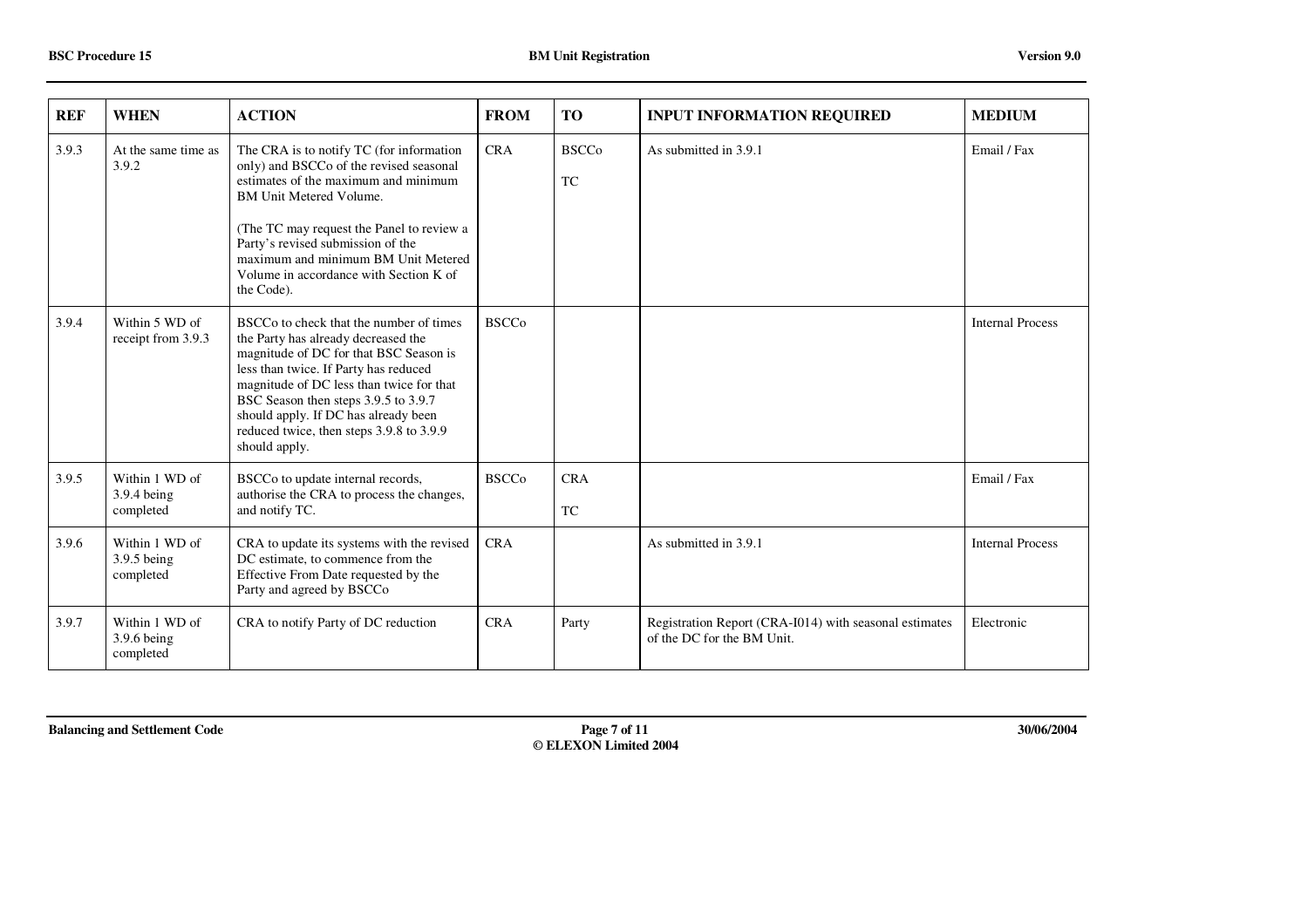| <b>REF</b> | <b>WHEN</b>                                | <b>ACTION</b>                                                                                                                                                                                                                                                                                                                                                          | <b>FROM</b>  | <b>TO</b>                                   | <b>INPUT INFORMATION REQUIRED</b>                                                    | <b>MEDIUM</b>           |
|------------|--------------------------------------------|------------------------------------------------------------------------------------------------------------------------------------------------------------------------------------------------------------------------------------------------------------------------------------------------------------------------------------------------------------------------|--------------|---------------------------------------------|--------------------------------------------------------------------------------------|-------------------------|
| 3.9.3      | At the same time as<br>3.9.2               | The CRA is to notify TC (for information<br>only) and BSCCo of the revised seasonal<br>estimates of the maximum and minimum<br><b>BM Unit Metered Volume.</b><br>(The TC may request the Panel to review a<br>Party's revised submission of the<br>maximum and minimum BM Unit Metered<br>Volume in accordance with Section K of<br>the Code).                         | <b>CRA</b>   | <b>BSCCo</b><br>$\protect\operatorname{TC}$ | As submitted in 3.9.1                                                                | Email / Fax             |
| 3.9.4      | Within 5 WD of<br>receipt from 3.9.3       | BSCC <sub>o</sub> to check that the number of times<br>the Party has already decreased the<br>magnitude of DC for that BSC Season is<br>less than twice. If Party has reduced<br>magnitude of DC less than twice for that<br>BSC Season then steps 3.9.5 to 3.9.7<br>should apply. If DC has already been<br>reduced twice, then steps 3.9.8 to 3.9.9<br>should apply. | <b>BSCCo</b> |                                             |                                                                                      | <b>Internal Process</b> |
| 3.9.5      | Within 1 WD of<br>3.9.4 being<br>completed | BSCCo to update internal records,<br>authorise the CRA to process the changes,<br>and notify TC.                                                                                                                                                                                                                                                                       | <b>BSCCo</b> | <b>CRA</b><br><b>TC</b>                     |                                                                                      | Email / Fax             |
| 3.9.6      | Within 1 WD of<br>3.9.5 being<br>completed | CRA to update its systems with the revised<br>DC estimate, to commence from the<br>Effective From Date requested by the<br>Party and agreed by BSCCo                                                                                                                                                                                                                   | <b>CRA</b>   |                                             | As submitted in 3.9.1                                                                | <b>Internal Process</b> |
| 3.9.7      | Within 1 WD of<br>3.9.6 being<br>completed | CRA to notify Party of DC reduction                                                                                                                                                                                                                                                                                                                                    | <b>CRA</b>   | Party                                       | Registration Report (CRA-I014) with seasonal estimates<br>of the DC for the BM Unit. | Electronic              |

**Balancing and Settlement Code Page 7 of 11 30/06/2004**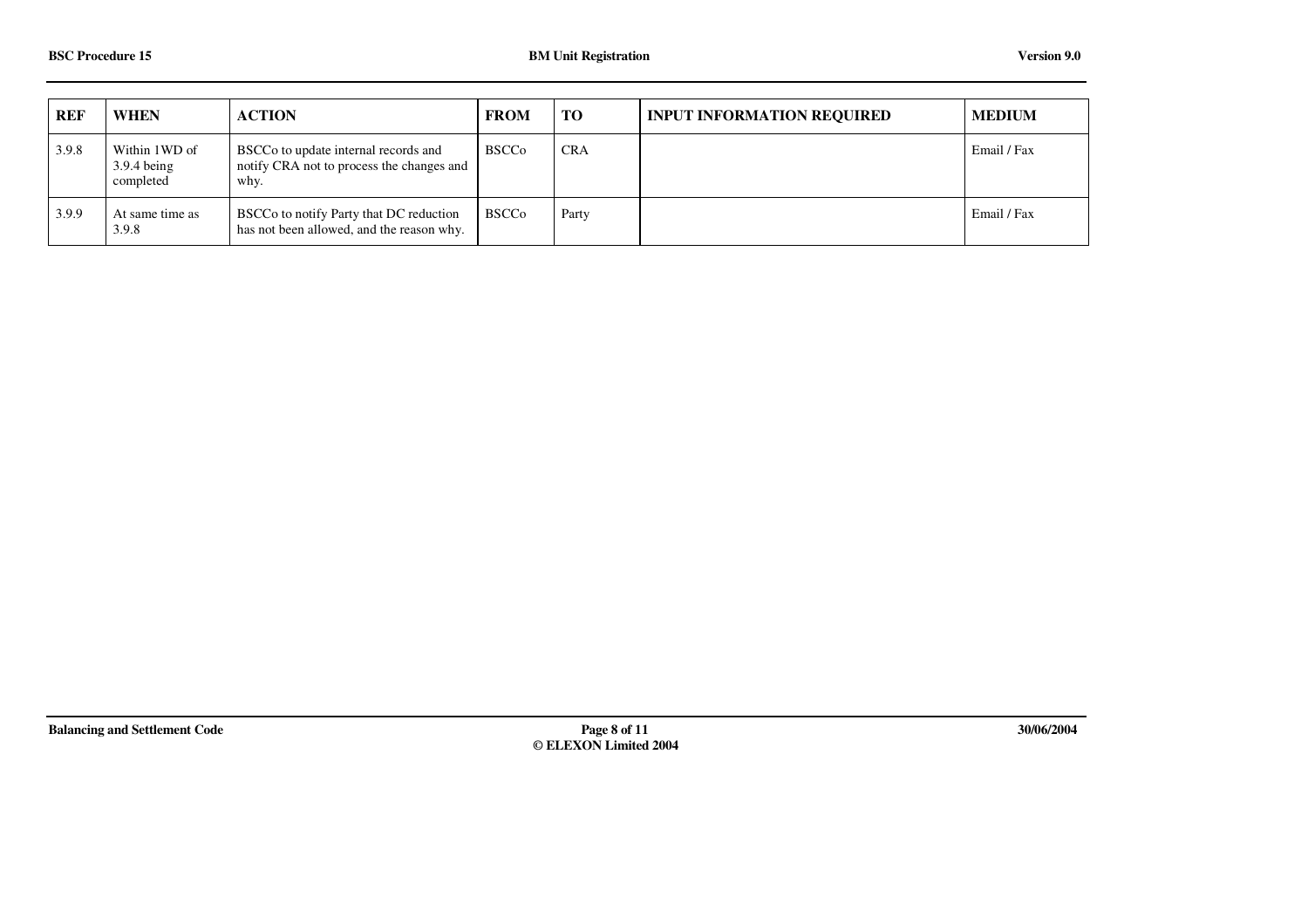| <b>REF</b> | <b>WHEN</b>                                            | <b>ACTION</b>                                                                             | <b>FROM</b>  | <b>TO</b>  | <b>INPUT INFORMATION REQUIRED</b> | <b>MEDIUM</b> |
|------------|--------------------------------------------------------|-------------------------------------------------------------------------------------------|--------------|------------|-----------------------------------|---------------|
| 3.9.8      | Within 1WD of<br>$3.9.4 \,\mathrm{being}$<br>completed | BSCCo to update internal records and<br>notify CRA not to process the changes and<br>why. | <b>BSCCo</b> | <b>CRA</b> |                                   | Email / Fax   |
| 3.9.9      | At same time as<br>3.9.8                               | BSCCo to notify Party that DC reduction<br>has not been allowed, and the reason why.      | <b>BSCCo</b> | Party      |                                   | Email / Fax   |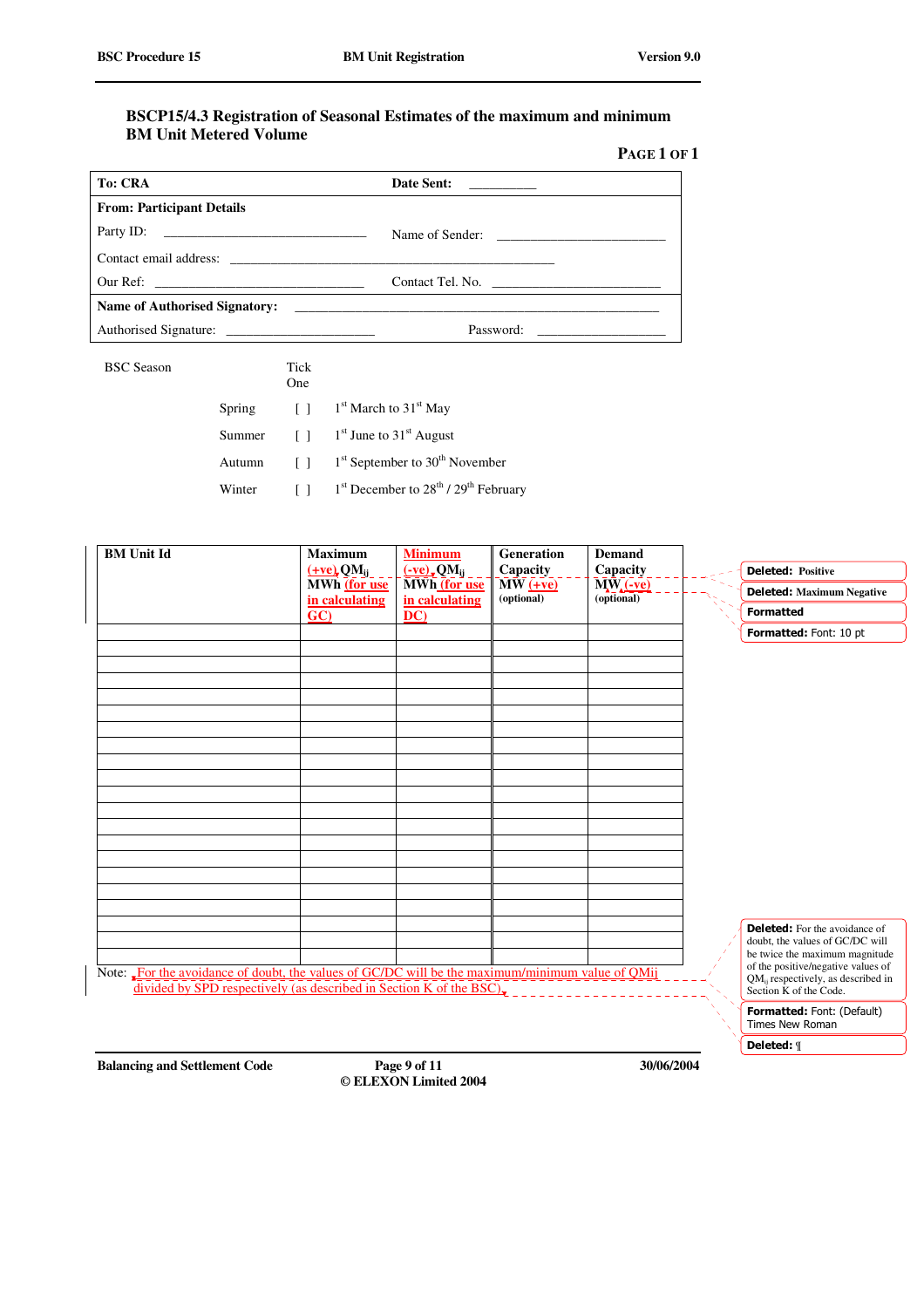#### **BSCP15/4.3 Registration of Seasonal Estimates of the maximum and minimum BM Unit Metered Volume**

| Page 1 of 1 |  |
|-------------|--|
|-------------|--|

| <b>To: CRA</b>                   | Date Sent:<br>the control of the control of |
|----------------------------------|---------------------------------------------|
| <b>From: Participant Details</b> |                                             |
|                                  |                                             |
|                                  |                                             |
|                                  | Contact Tel. No.                            |
| Name of Authorised Signatory:    |                                             |
| Authorised Signature:            | Password:                                   |

BSC Season Tick

|        | One. |                                                                                      |
|--------|------|--------------------------------------------------------------------------------------|
| Spring |      | $\begin{bmatrix} 1 \\ 1 \end{bmatrix}$ 1 <sup>st</sup> March to 31 <sup>st</sup> May |
| Summer |      | $\lceil$ 1 $\lceil$ 1 <sup>st</sup> June to 31 <sup>st</sup> August                  |
| Autumn |      | $[ ]$ 1 <sup>st</sup> September to 30 <sup>th</sup> November                         |

Winter [ ] <sup>st</sup> December to 28<sup>th</sup> / 29<sup>th</sup> February

| <b>BM</b> Unit Id                                                                               | <b>Maximum</b><br>$(+ve)$ , QM <sub>ij</sub>                        | <b>Minimum</b><br>$(-ve)$ , QM <sub>ij</sub> | <b>Generation</b><br>Capacity | <b>Demand</b><br>Capacity | <b>Deleted: Positive</b>                                                                                       |
|-------------------------------------------------------------------------------------------------|---------------------------------------------------------------------|----------------------------------------------|-------------------------------|---------------------------|----------------------------------------------------------------------------------------------------------------|
|                                                                                                 | MWh (for use<br>in calculating                                      | MWh (for use<br>in calculating               | $MW (+ve)$<br>(optional)      | $M(-ve)$<br>(optional)    | <b>Deleted:</b> Maximum Negative                                                                               |
|                                                                                                 | GC                                                                  | DC)                                          |                               |                           | <b>Formatted</b>                                                                                               |
|                                                                                                 |                                                                     |                                              |                               |                           | Formatted: Font: 10 pt                                                                                         |
|                                                                                                 |                                                                     |                                              |                               |                           |                                                                                                                |
|                                                                                                 |                                                                     |                                              |                               |                           |                                                                                                                |
|                                                                                                 |                                                                     |                                              |                               |                           |                                                                                                                |
|                                                                                                 |                                                                     |                                              |                               |                           |                                                                                                                |
|                                                                                                 |                                                                     |                                              |                               |                           |                                                                                                                |
|                                                                                                 |                                                                     |                                              |                               |                           |                                                                                                                |
|                                                                                                 |                                                                     |                                              |                               |                           |                                                                                                                |
|                                                                                                 |                                                                     |                                              |                               |                           |                                                                                                                |
|                                                                                                 |                                                                     |                                              |                               |                           |                                                                                                                |
|                                                                                                 |                                                                     |                                              |                               |                           |                                                                                                                |
|                                                                                                 |                                                                     |                                              |                               |                           |                                                                                                                |
|                                                                                                 |                                                                     |                                              |                               |                           |                                                                                                                |
|                                                                                                 |                                                                     |                                              |                               |                           |                                                                                                                |
|                                                                                                 |                                                                     |                                              |                               |                           |                                                                                                                |
|                                                                                                 |                                                                     |                                              |                               |                           | <b>Deleted:</b> For the avoidance of                                                                           |
|                                                                                                 |                                                                     |                                              |                               |                           | doubt, the values of GC/DC will<br>be twice the maximum magnitude                                              |
| Note: For the avoidance of doubt, the values of GC/DC will be the maximum/minimum value of QMij | divided by SPD respectively (as described in Section K of the BSC). |                                              |                               |                           | of the positive/negative values of<br>QM <sub>ii</sub> respectively, as described in<br>Section K of the Code. |
|                                                                                                 |                                                                     |                                              |                               |                           | Formatted: Font: (Default)<br><b>Times New Roman</b>                                                           |

Deleted: **[** 

**Balancing and Settlement Code Page 9 of 11 30/06/2004**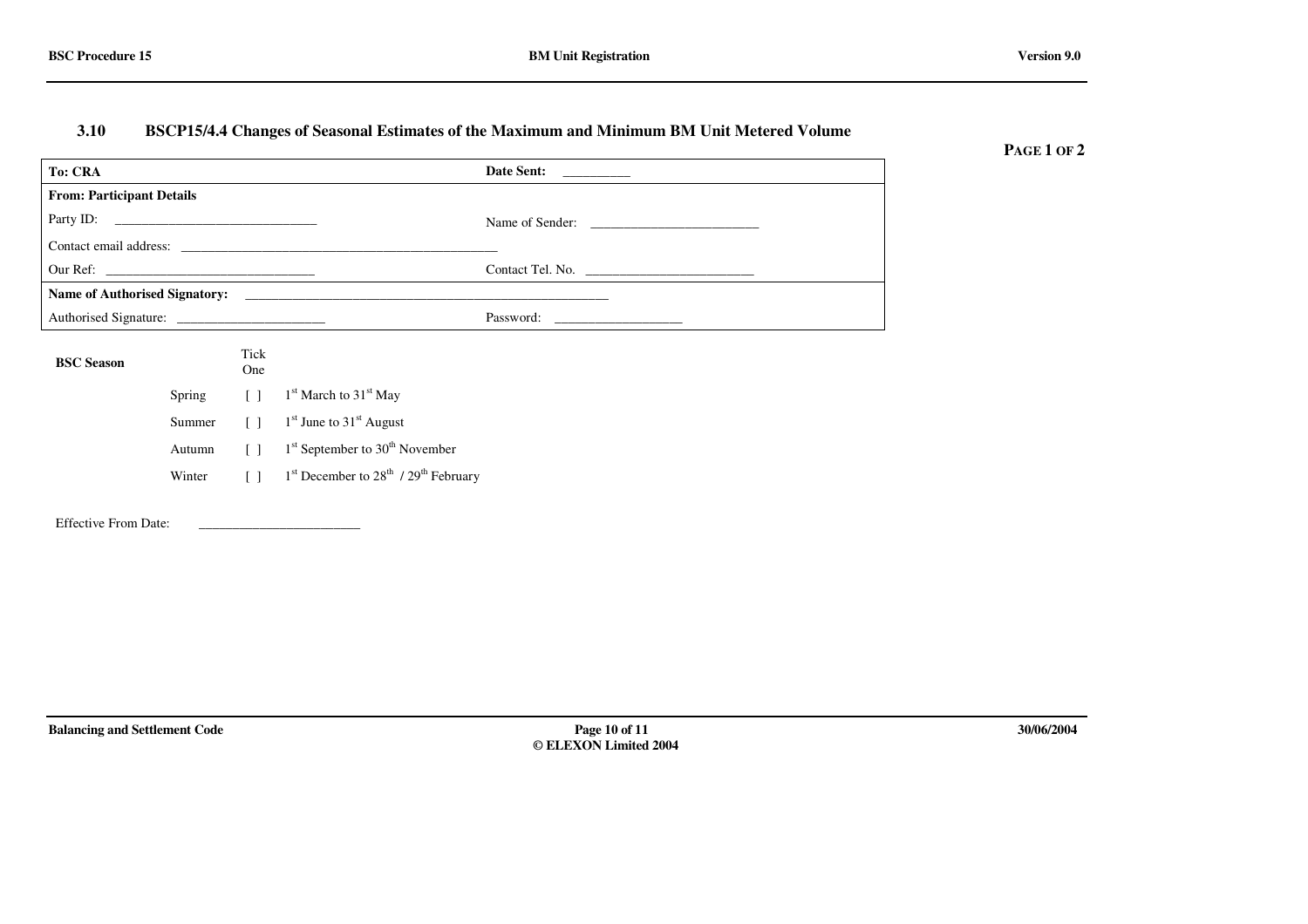#### **3.10BSCP15/4.4 Changes of Seasonal Estimates of the Maximum and Minimum BM Unit Metered Volume**

**PAGE 1 OF 2**

| <b>To: CRA</b>                   |             | Date Sent:      |
|----------------------------------|-------------|-----------------|
| <b>From: Participant Details</b> |             |                 |
|                                  |             | Name of Sender: |
|                                  |             |                 |
|                                  |             |                 |
|                                  |             |                 |
|                                  |             | Password:       |
| <b>BSC</b> Season                | Tick<br>One |                 |

Spring  $[ ]$  1<sup>st</sup> March to 31<sup>st</sup> May Summer $\left[ \begin{array}{cc} \end{array} \right]$  1<sup>st</sup> June to 31<sup>st</sup> August Autumn[ ]  $1^{st}$  September to 30<sup>th</sup> November Winter $[ ]$  1<sup>st</sup> December to 28<sup>th</sup> / 29<sup>th</sup> February

Effective From Date: